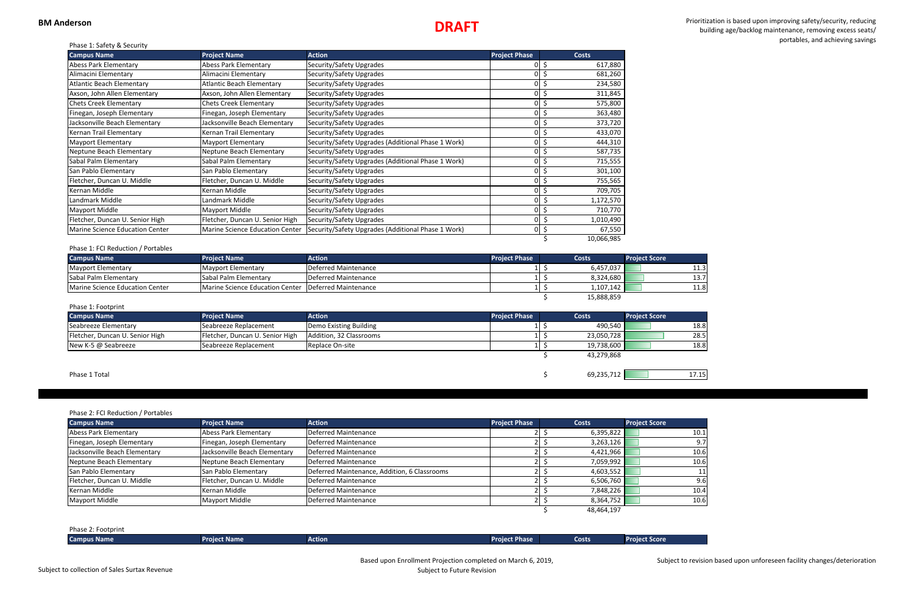# **DRAFT**

 Prioritization is based upon improving safety/security, reducing building age/backlog maintenance, removing excess seats/ portables, and achieving savings Phase 1: Safety & Security

| 18.8 |
|------|
| 28.5 |
| 18.8 |
|      |

| <b>Campus Name</b>               | <b>Project Name</b>              | <b>Action</b>                                      | <b>Project Phase</b> | <b>Costs</b>   |
|----------------------------------|----------------------------------|----------------------------------------------------|----------------------|----------------|
| <b>Abess Park Elementary</b>     | <b>Abess Park Elementary</b>     | Security/Safety Upgrades                           |                      | 617,880<br>Ş   |
| Alimacini Elementary             | Alimacini Elementary             | Security/Safety Upgrades                           | ΩI                   | \$<br>681,260  |
| <b>Atlantic Beach Elementary</b> | <b>Atlantic Beach Elementary</b> | Security/Safety Upgrades                           |                      | 234,580        |
| Axson, John Allen Elementary     | Axson, John Allen Elementary     | Security/Safety Upgrades                           |                      | 311,845        |
| <b>Chets Creek Elementary</b>    | <b>Chets Creek Elementary</b>    | Security/Safety Upgrades                           | ΟI                   | S<br>575,800   |
| Finegan, Joseph Elementary       | Finegan, Joseph Elementary       | Security/Safety Upgrades                           | οI                   | \$<br>363,480  |
| Jacksonville Beach Elementary    | Jacksonville Beach Elementary    | Security/Safety Upgrades                           | ΟI                   | \$<br>373,720  |
| Kernan Trail Elementary          | Kernan Trail Elementary          | Security/Safety Upgrades                           | 01                   | 433,070<br>S   |
| <b>Mayport Elementary</b>        | <b>Mayport Elementary</b>        | Security/Safety Upgrades (Additional Phase 1 Work) | n١                   | Ś<br>444,310   |
| Neptune Beach Elementary         | Neptune Beach Elementary         | Security/Safety Upgrades                           | ΩI                   | \$<br>587,735  |
| Sabal Palm Elementary            | Sabal Palm Elementary            | Security/Safety Upgrades (Additional Phase 1 Work) | ΩI                   | Ś<br>715,555   |
| San Pablo Elementary             | San Pablo Elementary             | Security/Safety Upgrades                           | ٥I                   | \$<br>301,100  |
| Fletcher, Duncan U. Middle       | Fletcher, Duncan U. Middle       | Security/Safety Upgrades                           | 01                   | S<br>755,565   |
| Kernan Middle                    | Kernan Middle                    | Security/Safety Upgrades                           | ΟI                   | 709,705<br>\$  |
| Landmark Middle                  | Landmark Middle                  | Security/Safety Upgrades                           | ΩI                   | 1,172,570      |
| Mayport Middle                   | Mayport Middle                   | Security/Safety Upgrades                           | ΩI                   | Ś.<br>710,770  |
| Fletcher, Duncan U. Senior High  | Fletcher, Duncan U. Senior High  | Security/Safety Upgrades                           | ΟI                   | 1,010,490<br>S |
| Marine Science Education Center  | Marine Science Education Center  | Security/Safety Upgrades (Additional Phase 1 Work) | 01                   | \$<br>67,550   |
|                                  |                                  |                                                    |                      | 10,066,985     |

| <b>Campus Name</b>                     | <b>Project Name</b>                                  | Action               | <b>Project Phase</b> |  | Costs      | <b>Project Score</b> |      |
|----------------------------------------|------------------------------------------------------|----------------------|----------------------|--|------------|----------------------|------|
| Mayport Elementary                     | Mayport Elementary                                   | Deferred Maintenance |                      |  | 6,457,037  |                      | 11.3 |
| <b>Sabal Palm Elementary</b>           | <b>Sabal Palm Elementary</b>                         | Deferred Maintenance |                      |  | 8,324,680  |                      | 13.7 |
| <b>Marine Science Education Center</b> | Marine Science Education Center Deferred Maintenance |                      |                      |  | 1,107,142  |                      | 11.8 |
|                                        |                                                      |                      |                      |  | 15,888,859 |                      |      |

| Phase 1: Footprint              |                                 |                         |                      |  |              |                      |       |
|---------------------------------|---------------------------------|-------------------------|----------------------|--|--------------|----------------------|-------|
| <b>Campus Name</b>              | <b>Project Name</b>             | Action                  | <b>Project Phase</b> |  | <b>Costs</b> | <b>Project Score</b> |       |
| Seabreeze Elementary            | Seabreeze Replacement           | Demo Existing Building  |                      |  | 490.540      |                      | 18.8  |
| Fletcher, Duncan U. Senior High | Fletcher, Duncan U. Senior High | Addition, 32 Classrooms |                      |  | 23,050,728   |                      | 28.5  |
| New K-5 @ Seabreeze             | Seabreeze Replacement           | Replace On-site         |                      |  | 19,738,600   |                      | 18.8  |
|                                 |                                 |                         |                      |  | 43,279,868   |                      |       |
|                                 |                                 |                         |                      |  |              |                      |       |
| Phase 1 Total                   |                                 |                         |                      |  | 69,235,712   |                      | 17.15 |

### Phase 2: FCI Reduction / Portables

| <b>Campus Name</b>            | <b>Project Name</b>           | <b>Action</b>                                | <b>Project Phase</b> | <b>Costs</b> | <b>Project Score</b> |
|-------------------------------|-------------------------------|----------------------------------------------|----------------------|--------------|----------------------|
| Abess Park Elementary         | Abess Park Elementary         | Deferred Maintenance                         |                      | 6,395,822    | 10.1                 |
| Finegan, Joseph Elementary    | Finegan, Joseph Elementary    | Deferred Maintenance                         |                      | 3,263,126    | 9.7 <sup>1</sup>     |
| Jacksonville Beach Elementary | Jacksonville Beach Elementary | Deferred Maintenance                         |                      | 4,421,966    | 10.6                 |
| Neptune Beach Elementary      | Neptune Beach Elementary      | Deferred Maintenance                         |                      | 7,059,992    | 10.6                 |
| San Pablo Elementary          | San Pablo Elementary          | Deferred Maintenance, Addition, 6 Classrooms |                      | 4,603,552    | 11                   |
| Fletcher, Duncan U. Middle    | Fletcher, Duncan U. Middle    | Deferred Maintenance                         |                      | 6,506,760    | 9.6                  |
| Kernan Middle                 | Kernan Middle                 | Deferred Maintenance                         |                      | 7,848,226    | 10.4                 |
| Mayport Middle                | Mayport Middle                | Deferred Maintenance                         |                      | 8,364,752    | 10.6                 |
|                               |                               |                                              |                      | 48,464,197   |                      |

Phase 2: Footprint **Campus Name Project Name Action Project Phase Costs Project Score**

Subject to revision based upon unforeseen facility changes/deterioration